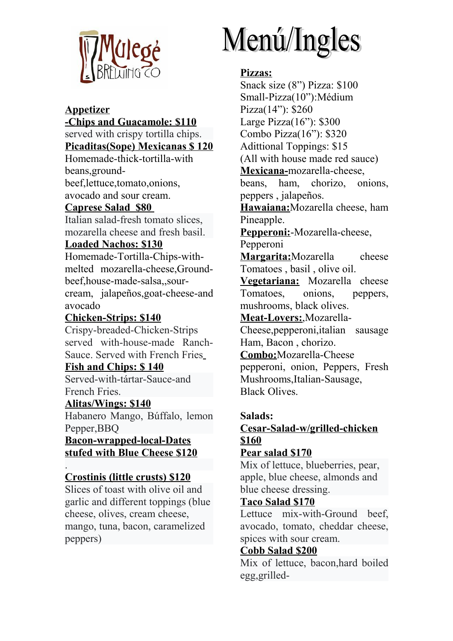

# **Appetizer**

**-Chips and Guacamole: \$110** served with crispy tortilla chips. **Picaditas(Sope) Mexicanas \$ 120** Homemade-thick-tortilla-with beans,groundbeef,lettuce,tomato,onions, avocado and sour cream. **Caprese Salad \$80** 

Italian salad-fresh tomato slices, mozarella cheese and fresh basil.

# **Loaded Nachos: \$130**

Homemade-Tortilla-Chips-withmelted mozarella-cheese,Groundbeef,house-made-salsa,,sourcream, jalapeños,goat-cheese-and avocado

## **Chicken-Strips: \$140**

Crispy-breaded-Chicken-Strips served with-house-made Ranch-Sauce. Served with French Fries

**Fish and Chips: \$ 140** Served-with-tártar-Sauce-and French Fries.

## **Alitas/Wings: \$140**

Habanero Mango, Búffalo, lemon Pepper,BBQ

**Bacon-wrapped-local-Dates stufed with Blue Cheese \$120**

#### . **Crostinis (little crusts) \$120**

Slices of toast with olive oil and garlic and different toppings (blue cheese, olives, cream cheese, mango, tuna, bacon, caramelized peppers)

# Menú/Ingles

# **Pizzas:**

Snack size (8") Pizza: \$100 Small-Pizza(10"):Médium Pizza(14"): \$260 Large Pizza(16"): \$300 Combo Pizza(16"): \$320 Adittional Toppings: \$15 (All with house made red sauce) **Mexicana-**mozarella-cheese, beans, ham, chorizo, onions, peppers , jalapeños. **Hawaiana:**Mozarella cheese, ham Pineapple. **Pepperoni:**-Mozarella-cheese, Pepperoni **Margarita:**Mozarella cheese Tomatoes , basil , olive oil. **Vegetariana:** Mozarella cheese Tomatoes, onions, peppers, mushrooms, black olives. **Meat-Lovers:**,Mozarella-Cheese,pepperoni,italian sausage Ham, Bacon , chorizo. **Combo:**Mozarella-Cheese pepperoni, onion, Peppers, Fresh Mushrooms,Italian-Sausage, Black Olives.

#### **Salads: Cesar-Salad-w/grilled-chicken \$160**

# **Pear salad \$170**

Mix of lettuce, blueberries, pear, apple, blue cheese, almonds and blue cheese dressing.

## **Taco Salad \$170**

Lettuce mix-with-Ground beef, avocado, tomato, cheddar cheese, spices with sour cream.

## **Cobb Salad \$200**

Mix of lettuce, bacon,hard boiled egg,grilled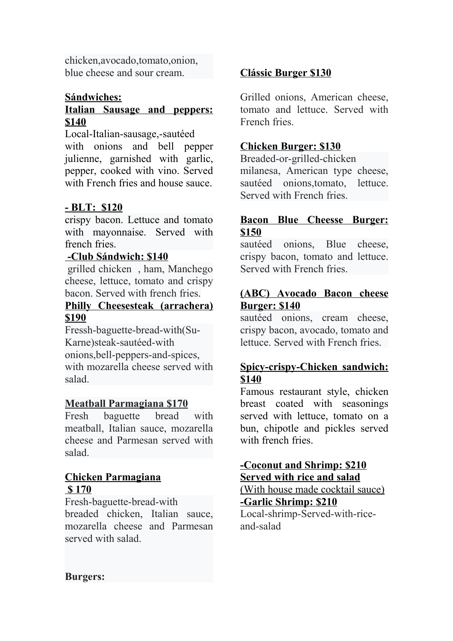chicken,avocado,tomato,onion, blue cheese and sour cream.

## **Sándwiches:**

# **Italian Sausage and peppers: \$140**

Local-Italian-sausage,-sautéed with onions and bell pepper julienne, garnished with garlic, pepper, cooked with vino. Served with French fries and house sauce.

## **- BLT: \$120**

crispy bacon. Lettuce and tomato with mayonnaise. Served with french fries.

#### **-Club Sándwich: \$140**

grilled chicken , ham, Manchego cheese, lettuce, tomato and crispy bacon. Served with french fries.

## **Philly Cheesesteak (arrachera) \$190**

Fressh-baguette-bread-with(Su-Karne)steak-sautéed-with onions,bell-peppers-and-spices, with mozarella cheese served with salad.

#### **Meatball Parmagiana \$170**

Fresh baguette bread with meatball, Italian sauce, mozarella cheese and Parmesan served with salad.

#### **Chicken Parmagiana \$ 170**

Fresh-baguette-bread-with

breaded chicken, Italian sauce, mozarella cheese and Parmesan served with salad.

## **Clássic Burger \$130**

Grilled onions, American cheese, tomato and lettuce. Served with French fries.

## **Chicken Burger: \$130**

Breaded-or-grilled-chicken

milanesa, American type cheese, sautéed onions,tomato, lettuce. Served with French fries.

#### **Bacon Blue Cheesse Burger: \$150**

sautéed onions, Blue cheese, crispy bacon, tomato and lettuce. Served with French fries.

#### **(ABC) Avocado Bacon cheese Burger: \$140**

sautéed onions, cream cheese, crispy bacon, avocado, tomato and lettuce. Served with French fries.

## **Spicy-crispy-Chicken sandwich: \$140**

Famous restaurant style, chicken breast coated with seasonings served with lettuce, tomato on a bun, chipotle and pickles served with french fries.

## **-Coconut and Shrimp: \$210 Served with rice and salad**

(With house made cocktail sauce) **-Garlic Shrimp: \$210** Local-shrimp-Served-with-riceand-salad

**Burgers:**